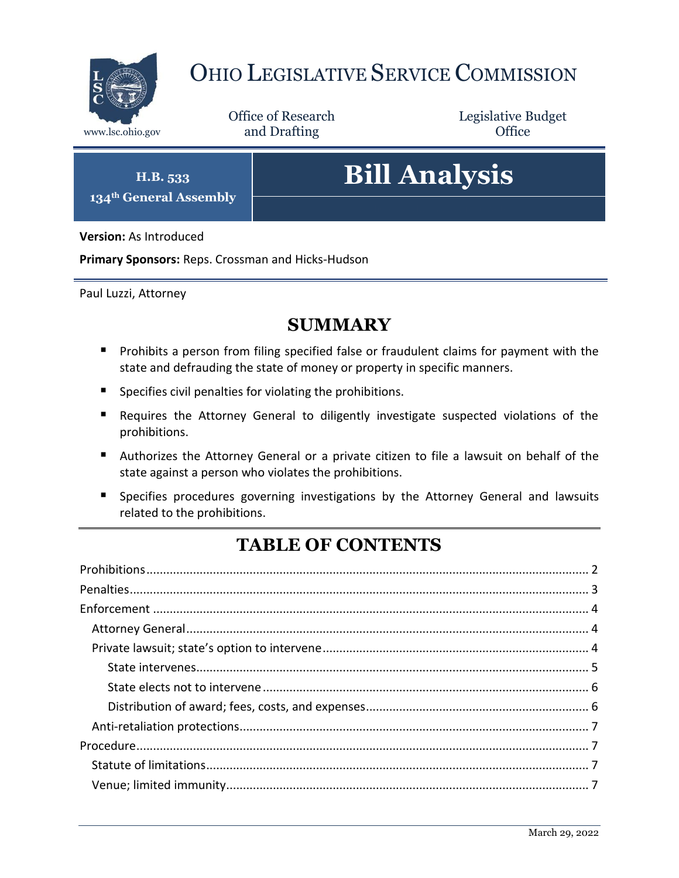

# OHIO LEGISLATIVE SERVICE COMMISSION

Office of Research www.lsc.ohio.gov **and Drafting Office** 

Legislative Budget

**H.B. 533 134th General Assembly**

# **Bill Analysis**

**Version:** As Introduced

**Primary Sponsors:** Reps. Crossman and Hicks-Hudson

Paul Luzzi, Attorney

## **SUMMARY**

- **Prohibits a person from filing specified false or fraudulent claims for payment with the** state and defrauding the state of money or property in specific manners.
- $\blacksquare$  Specifies civil penalties for violating the prohibitions.
- Requires the Attorney General to diligently investigate suspected violations of the prohibitions.
- Authorizes the Attorney General or a private citizen to file a lawsuit on behalf of the state against a person who violates the prohibitions.
- **Specifies procedures governing investigations by the Attorney General and lawsuits** related to the prohibitions.

# **TABLE OF CONTENTS**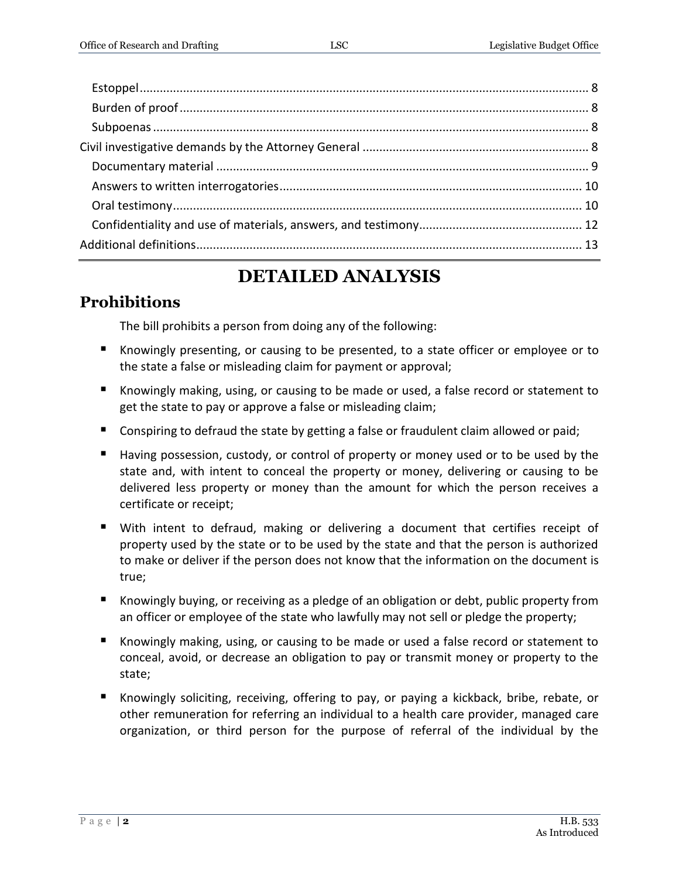## **DETAILED ANALYSIS**

## <span id="page-1-0"></span>**Prohibitions**

The bill prohibits a person from doing any of the following:

- Knowingly presenting, or causing to be presented, to a state officer or employee or to the state a false or misleading claim for payment or approval;
- Knowingly making, using, or causing to be made or used, a false record or statement to get the state to pay or approve a false or misleading claim;
- **Conspiring to defraud the state by getting a false or fraudulent claim allowed or paid;**
- Having possession, custody, or control of property or money used or to be used by the state and, with intent to conceal the property or money, delivering or causing to be delivered less property or money than the amount for which the person receives a certificate or receipt;
- With intent to defraud, making or delivering a document that certifies receipt of property used by the state or to be used by the state and that the person is authorized to make or deliver if the person does not know that the information on the document is true;
- Knowingly buying, or receiving as a pledge of an obligation or debt, public property from an officer or employee of the state who lawfully may not sell or pledge the property;
- Knowingly making, using, or causing to be made or used a false record or statement to conceal, avoid, or decrease an obligation to pay or transmit money or property to the state;
- Knowingly soliciting, receiving, offering to pay, or paying a kickback, bribe, rebate, or other remuneration for referring an individual to a health care provider, managed care organization, or third person for the purpose of referral of the individual by the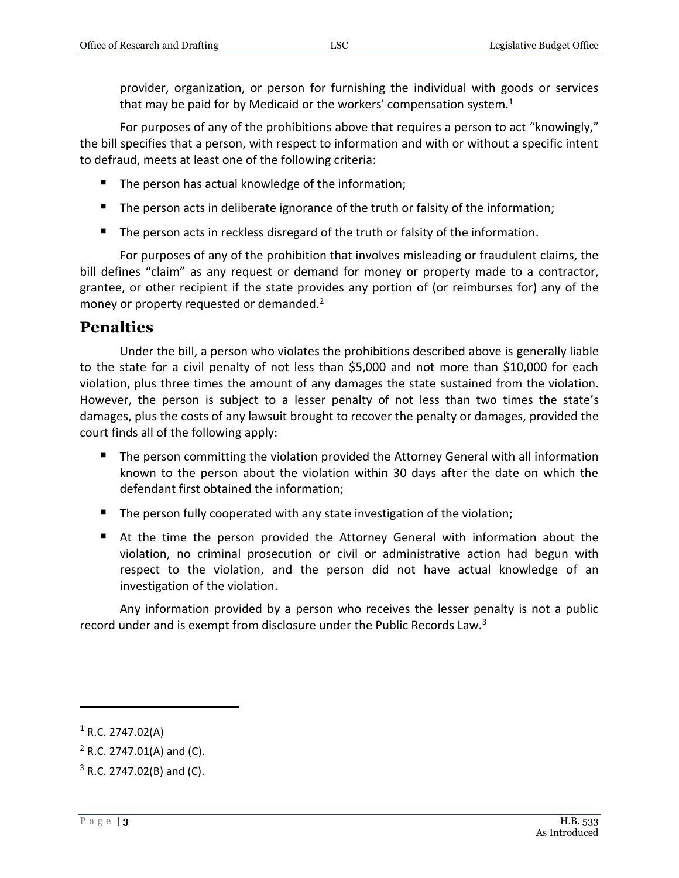provider, organization, or person for furnishing the individual with goods or services that may be paid for by Medicaid or the workers' compensation system. $<sup>1</sup>$ </sup>

For purposes of any of the prohibitions above that requires a person to act "knowingly," the bill specifies that a person, with respect to information and with or without a specific intent to defraud, meets at least one of the following criteria:

- The person has actual knowledge of the information;
- The person acts in deliberate ignorance of the truth or falsity of the information;
- The person acts in reckless disregard of the truth or falsity of the information.

For purposes of any of the prohibition that involves misleading or fraudulent claims, the bill defines "claim" as any request or demand for money or property made to a contractor, grantee, or other recipient if the state provides any portion of (or reimburses for) any of the money or property requested or demanded.<sup>2</sup>

## <span id="page-2-0"></span>**Penalties**

Under the bill, a person who violates the prohibitions described above is generally liable to the state for a civil penalty of not less than \$5,000 and not more than \$10,000 for each violation, plus three times the amount of any damages the state sustained from the violation. However, the person is subject to a lesser penalty of not less than two times the state's damages, plus the costs of any lawsuit brought to recover the penalty or damages, provided the court finds all of the following apply:

- **The person committing the violation provided the Attorney General with all information** known to the person about the violation within 30 days after the date on which the defendant first obtained the information;
- The person fully cooperated with any state investigation of the violation;
- At the time the person provided the Attorney General with information about the violation, no criminal prosecution or civil or administrative action had begun with respect to the violation, and the person did not have actual knowledge of an investigation of the violation.

Any information provided by a person who receives the lesser penalty is not a public record under and is exempt from disclosure under the Public Records Law.<sup>3</sup>

 $1$  R.C. 2747.02(A)

 $2$  R.C. 2747.01(A) and (C).

 $3$  R.C. 2747.02(B) and (C).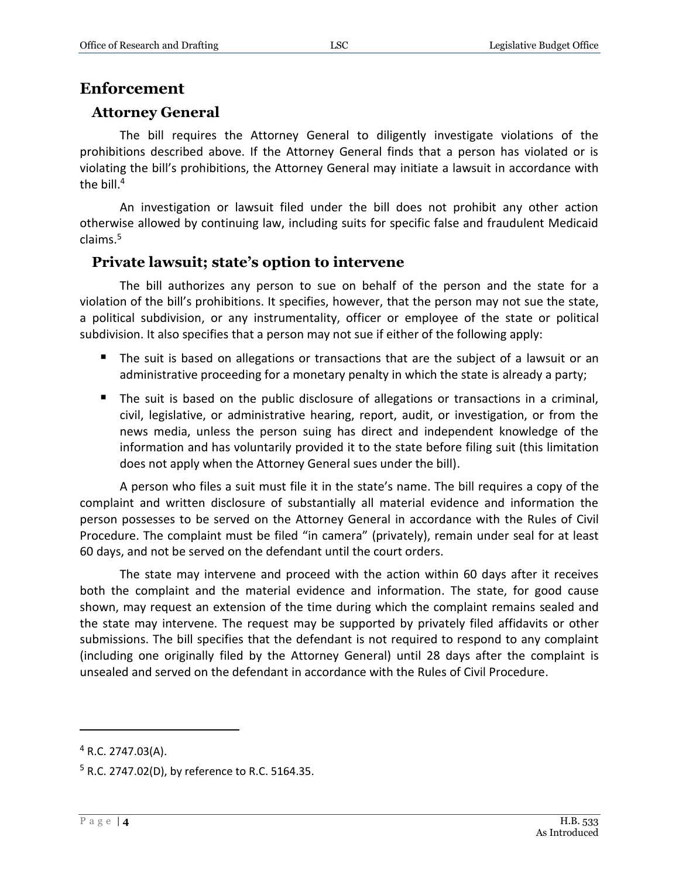### <span id="page-3-0"></span>**Enforcement**

#### <span id="page-3-1"></span>**Attorney General**

The bill requires the Attorney General to diligently investigate violations of the prohibitions described above. If the Attorney General finds that a person has violated or is violating the bill's prohibitions, the Attorney General may initiate a lawsuit in accordance with the bill.<sup>4</sup>

An investigation or lawsuit filed under the bill does not prohibit any other action otherwise allowed by continuing law, including suits for specific false and fraudulent Medicaid claims.<sup>5</sup>

#### <span id="page-3-2"></span>**Private lawsuit; state's option to intervene**

The bill authorizes any person to sue on behalf of the person and the state for a violation of the bill's prohibitions. It specifies, however, that the person may not sue the state, a political subdivision, or any instrumentality, officer or employee of the state or political subdivision. It also specifies that a person may not sue if either of the following apply:

- The suit is based on allegations or transactions that are the subject of a lawsuit or an administrative proceeding for a monetary penalty in which the state is already a party;
- The suit is based on the public disclosure of allegations or transactions in a criminal, civil, legislative, or administrative hearing, report, audit, or investigation, or from the news media, unless the person suing has direct and independent knowledge of the information and has voluntarily provided it to the state before filing suit (this limitation does not apply when the Attorney General sues under the bill).

A person who files a suit must file it in the state's name. The bill requires a copy of the complaint and written disclosure of substantially all material evidence and information the person possesses to be served on the Attorney General in accordance with the Rules of Civil Procedure. The complaint must be filed "in camera" (privately), remain under seal for at least 60 days, and not be served on the defendant until the court orders.

The state may intervene and proceed with the action within 60 days after it receives both the complaint and the material evidence and information. The state, for good cause shown, may request an extension of the time during which the complaint remains sealed and the state may intervene. The request may be supported by privately filed affidavits or other submissions. The bill specifies that the defendant is not required to respond to any complaint (including one originally filed by the Attorney General) until 28 days after the complaint is unsealed and served on the defendant in accordance with the Rules of Civil Procedure.

 $4$  R.C. 2747.03(A).

 $5$  R.C. 2747.02(D), by reference to R.C. 5164.35.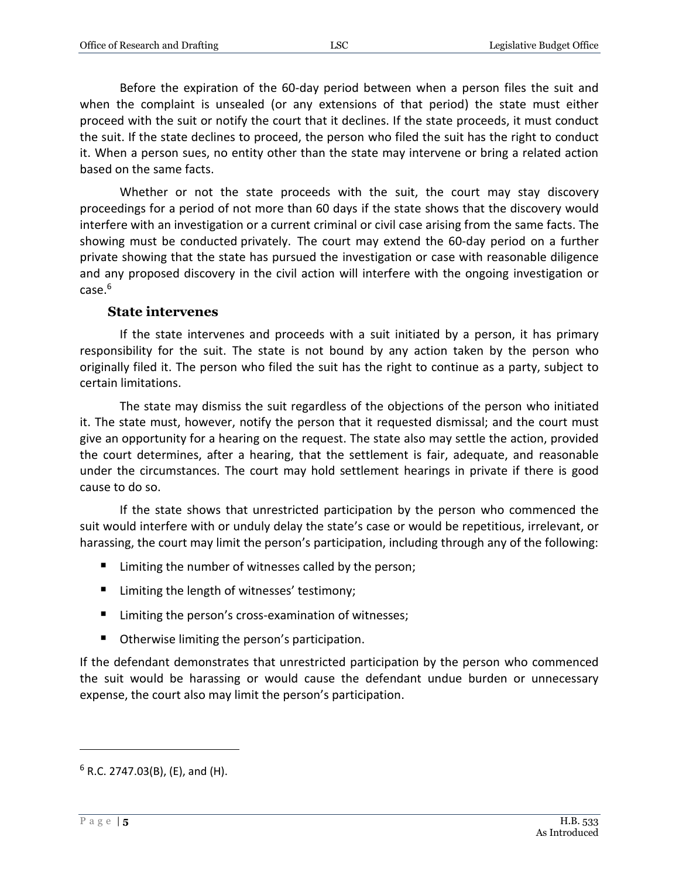Before the expiration of the 60-day period between when a person files the suit and when the complaint is unsealed (or any extensions of that period) the state must either proceed with the suit or notify the court that it declines. If the state proceeds, it must conduct the suit. If the state declines to proceed, the person who filed the suit has the right to conduct it. When a person sues, no entity other than the state may intervene or bring a related action based on the same facts.

Whether or not the state proceeds with the suit, the court may stay discovery proceedings for a period of not more than 60 days if the state shows that the discovery would interfere with an investigation or a current criminal or civil case arising from the same facts. The showing must be conducted privately. The court may extend the 60-day period on a further private showing that the state has pursued the investigation or case with reasonable diligence and any proposed discovery in the civil action will interfere with the ongoing investigation or case. 6

#### **State intervenes**

<span id="page-4-0"></span>If the state intervenes and proceeds with a suit initiated by a person, it has primary responsibility for the suit. The state is not bound by any action taken by the person who originally filed it. The person who filed the suit has the right to continue as a party, subject to certain limitations.

The state may dismiss the suit regardless of the objections of the person who initiated it. The state must, however, notify the person that it requested dismissal; and the court must give an opportunity for a hearing on the request. The state also may settle the action, provided the court determines, after a hearing, that the settlement is fair, adequate, and reasonable under the circumstances. The court may hold settlement hearings in private if there is good cause to do so.

If the state shows that unrestricted participation by the person who commenced the suit would interfere with or unduly delay the state's case or would be repetitious, irrelevant, or harassing, the court may limit the person's participation, including through any of the following:

- Limiting the number of witnesses called by the person;
- Limiting the length of witnesses' testimony;
- Limiting the person's cross-examination of witnesses;
- **•** Otherwise limiting the person's participation.

If the defendant demonstrates that unrestricted participation by the person who commenced the suit would be harassing or would cause the defendant undue burden or unnecessary expense, the court also may limit the person's participation.

 $6$  R.C. 2747.03(B), (E), and (H).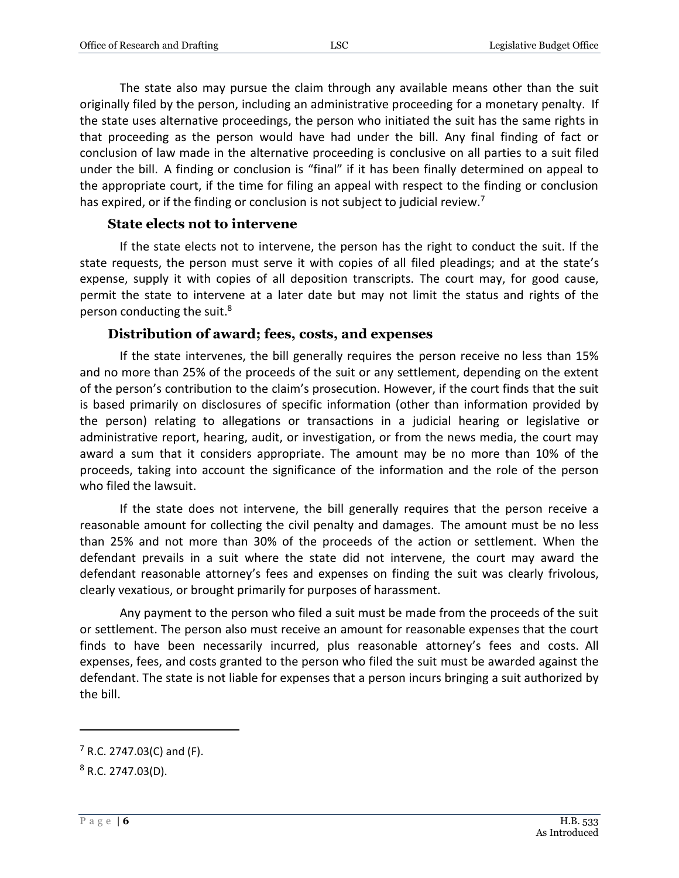The state also may pursue the claim through any available means other than the suit originally filed by the person, including an administrative proceeding for a monetary penalty. If the state uses alternative proceedings, the person who initiated the suit has the same rights in that proceeding as the person would have had under the bill. Any final finding of fact or conclusion of law made in the alternative proceeding is conclusive on all parties to a suit filed under the bill. A finding or conclusion is "final" if it has been finally determined on appeal to the appropriate court, if the time for filing an appeal with respect to the finding or conclusion has expired, or if the finding or conclusion is not subject to judicial review.<sup>7</sup>

#### **State elects not to intervene**

<span id="page-5-0"></span>If the state elects not to intervene, the person has the right to conduct the suit. If the state requests, the person must serve it with copies of all filed pleadings; and at the state's expense, supply it with copies of all deposition transcripts. The court may, for good cause, permit the state to intervene at a later date but may not limit the status and rights of the person conducting the suit.<sup>8</sup>

#### **Distribution of award; fees, costs, and expenses**

<span id="page-5-1"></span>If the state intervenes, the bill generally requires the person receive no less than 15% and no more than 25% of the proceeds of the suit or any settlement, depending on the extent of the person's contribution to the claim's prosecution. However, if the court finds that the suit is based primarily on disclosures of specific information (other than information provided by the person) relating to allegations or transactions in a judicial hearing or legislative or administrative report, hearing, audit, or investigation, or from the news media, the court may award a sum that it considers appropriate. The amount may be no more than 10% of the proceeds, taking into account the significance of the information and the role of the person who filed the lawsuit.

If the state does not intervene, the bill generally requires that the person receive a reasonable amount for collecting the civil penalty and damages. The amount must be no less than 25% and not more than 30% of the proceeds of the action or settlement. When the defendant prevails in a suit where the state did not intervene, the court may award the defendant reasonable attorney's fees and expenses on finding the suit was clearly frivolous, clearly vexatious, or brought primarily for purposes of harassment.

Any payment to the person who filed a suit must be made from the proceeds of the suit or settlement. The person also must receive an amount for reasonable expenses that the court finds to have been necessarily incurred, plus reasonable attorney's fees and costs. All expenses, fees, and costs granted to the person who filed the suit must be awarded against the defendant. The state is not liable for expenses that a person incurs bringing a suit authorized by the bill.

 $7$  R.C. 2747.03(C) and (F).

 $8$  R.C. 2747.03(D).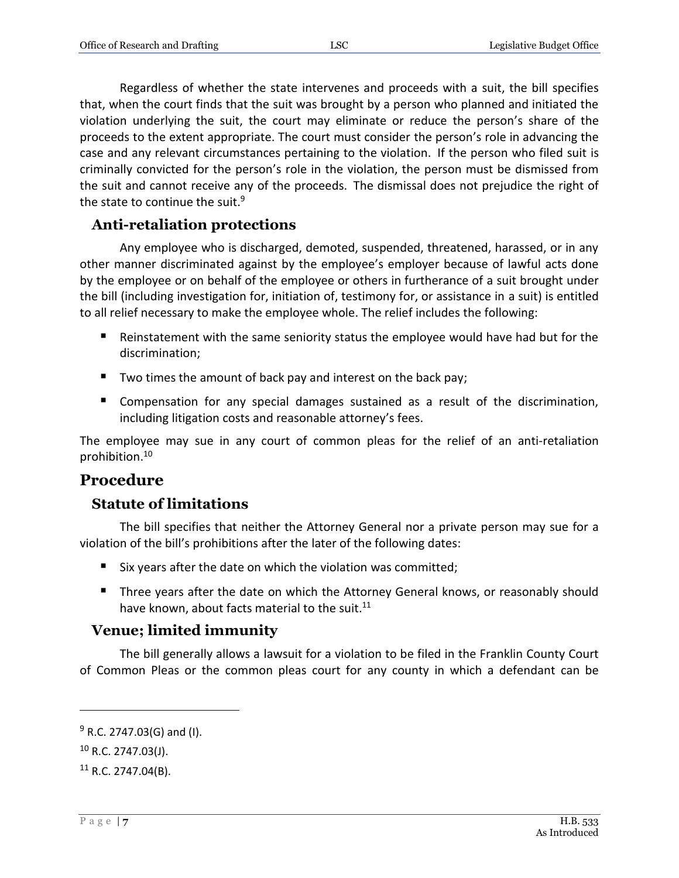Regardless of whether the state intervenes and proceeds with a suit, the bill specifies that, when the court finds that the suit was brought by a person who planned and initiated the violation underlying the suit, the court may eliminate or reduce the person's share of the proceeds to the extent appropriate. The court must consider the person's role in advancing the case and any relevant circumstances pertaining to the violation. If the person who filed suit is criminally convicted for the person's role in the violation, the person must be dismissed from the suit and cannot receive any of the proceeds. The dismissal does not prejudice the right of the state to continue the suit.<sup>9</sup>

### <span id="page-6-0"></span>**Anti-retaliation protections**

Any employee who is discharged, demoted, suspended, threatened, harassed, or in any other manner discriminated against by the employee's employer because of lawful acts done by the employee or on behalf of the employee or others in furtherance of a suit brought under the bill (including investigation for, initiation of, testimony for, or assistance in a suit) is entitled to all relief necessary to make the employee whole. The relief includes the following:

- Reinstatement with the same seniority status the employee would have had but for the discrimination;
- Two times the amount of back pay and interest on the back pay;
- **Compensation for any special damages sustained as a result of the discrimination,** including litigation costs and reasonable attorney's fees.

The employee may sue in any court of common pleas for the relief of an anti-retaliation prohibition. 10

## <span id="page-6-1"></span>**Procedure**

## <span id="page-6-2"></span>**Statute of limitations**

The bill specifies that neither the Attorney General nor a private person may sue for a violation of the bill's prohibitions after the later of the following dates:

- $\blacksquare$  Six years after the date on which the violation was committed;
- Three years after the date on which the Attorney General knows, or reasonably should have known, about facts material to the suit.<sup>11</sup>

## <span id="page-6-3"></span>**Venue; limited immunity**

The bill generally allows a lawsuit for a violation to be filed in the Franklin County Court of Common Pleas or the common pleas court for any county in which a defendant can be

 $9$  R.C. 2747.03(G) and (I).

<sup>10</sup> R.C. 2747.03(J).

 $11$  R.C. 2747.04(B).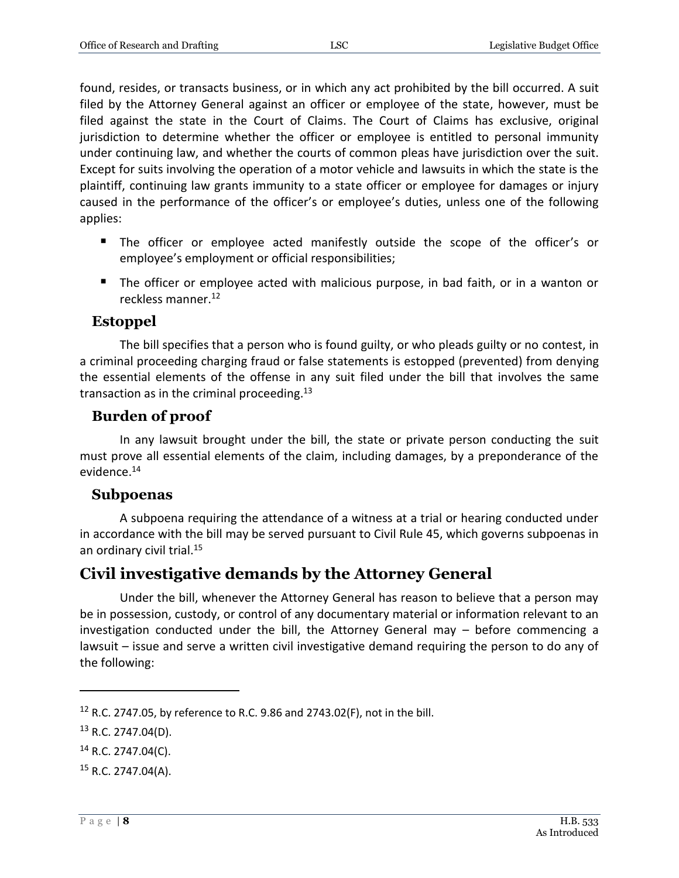found, resides, or transacts business, or in which any act prohibited by the bill occurred. A suit filed by the Attorney General against an officer or employee of the state, however, must be filed against the state in the Court of Claims. The Court of Claims has exclusive, original jurisdiction to determine whether the officer or employee is entitled to personal immunity under continuing law, and whether the courts of common pleas have jurisdiction over the suit. Except for suits involving the operation of a motor vehicle and lawsuits in which the state is the plaintiff, continuing law grants immunity to a state officer or employee for damages or injury caused in the performance of the officer's or employee's duties, unless one of the following applies:

- The officer or employee acted manifestly outside the scope of the officer's or employee's employment or official responsibilities;
- The officer or employee acted with malicious purpose, in bad faith, or in a wanton or reckless manner.<sup>12</sup>

## <span id="page-7-0"></span>**Estoppel**

The bill specifies that a person who is found guilty, or who pleads guilty or no contest, in a criminal proceeding charging fraud or false statements is estopped (prevented) from denying the essential elements of the offense in any suit filed under the bill that involves the same transaction as in the criminal proceeding. $13$ 

## <span id="page-7-1"></span>**Burden of proof**

In any lawsuit brought under the bill, the state or private person conducting the suit must prove all essential elements of the claim, including damages, by a preponderance of the evidence.<sup>14</sup>

#### <span id="page-7-2"></span>**Subpoenas**

A subpoena requiring the attendance of a witness at a trial or hearing conducted under in accordance with the bill may be served pursuant to Civil Rule 45, which governs subpoenas in an ordinary civil trial.<sup>15</sup>

## <span id="page-7-3"></span>**Civil investigative demands by the Attorney General**

Under the bill, whenever the Attorney General has reason to believe that a person may be in possession, custody, or control of any documentary material or information relevant to an investigation conducted under the bill, the Attorney General may – before commencing a lawsuit – issue and serve a written civil investigative demand requiring the person to do any of the following:

<sup>&</sup>lt;sup>12</sup> R.C. 2747.05, by reference to R.C. 9.86 and 2743.02(F), not in the bill.

 $13$  R.C. 2747.04(D).

 $14$  R.C. 2747.04(C).

 $15$  R.C. 2747.04(A).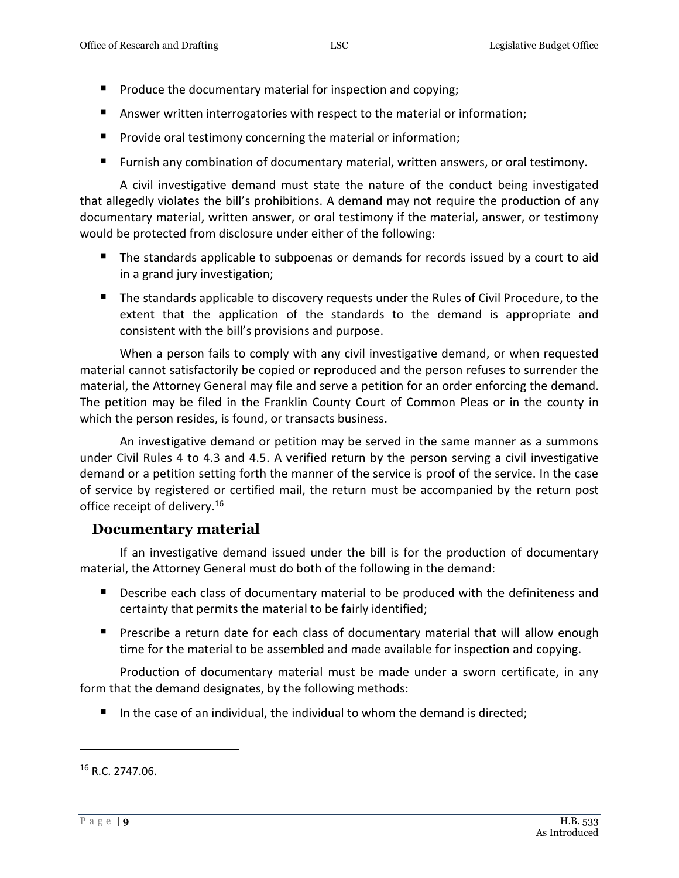- **Produce the documentary material for inspection and copying;**
- **Answer written interrogatories with respect to the material or information;**
- **Provide oral testimony concerning the material or information;**
- Furnish any combination of documentary material, written answers, or oral testimony.

A civil investigative demand must state the nature of the conduct being investigated that allegedly violates the bill's prohibitions. A demand may not require the production of any documentary material, written answer, or oral testimony if the material, answer, or testimony would be protected from disclosure under either of the following:

- The standards applicable to subpoenas or demands for records issued by a court to aid in a grand jury investigation;
- The standards applicable to discovery requests under the Rules of Civil Procedure, to the extent that the application of the standards to the demand is appropriate and consistent with the bill's provisions and purpose.

When a person fails to comply with any civil investigative demand, or when requested material cannot satisfactorily be copied or reproduced and the person refuses to surrender the material, the Attorney General may file and serve a petition for an order enforcing the demand. The petition may be filed in the Franklin County Court of Common Pleas or in the county in which the person resides, is found, or transacts business.

An investigative demand or petition may be served in the same manner as a summons under Civil Rules 4 to 4.3 and 4.5. A verified return by the person serving a civil investigative demand or a petition setting forth the manner of the service is proof of the service. In the case of service by registered or certified mail, the return must be accompanied by the return post office receipt of delivery.<sup>16</sup>

#### <span id="page-8-0"></span>**Documentary material**

If an investigative demand issued under the bill is for the production of documentary material, the Attorney General must do both of the following in the demand:

- **Describe each class of documentary material to be produced with the definiteness and** certainty that permits the material to be fairly identified;
- **Prescribe a return date for each class of documentary material that will allow enough** time for the material to be assembled and made available for inspection and copying.

Production of documentary material must be made under a sworn certificate, in any form that the demand designates, by the following methods:

In the case of an individual, the individual to whom the demand is directed;

 $16$  R.C. 2747.06.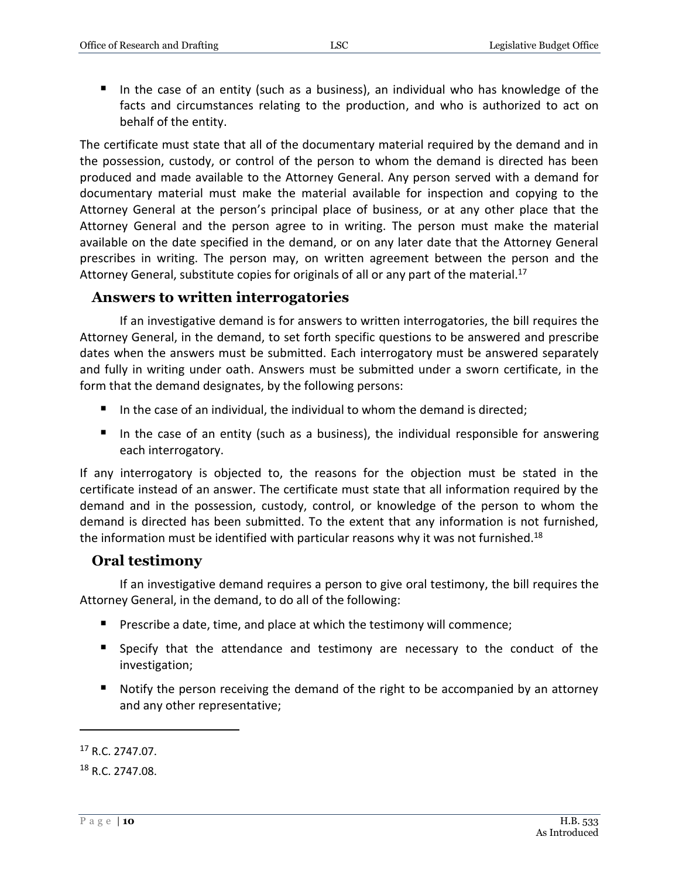In the case of an entity (such as a business), an individual who has knowledge of the facts and circumstances relating to the production, and who is authorized to act on behalf of the entity.

The certificate must state that all of the documentary material required by the demand and in the possession, custody, or control of the person to whom the demand is directed has been produced and made available to the Attorney General. Any person served with a demand for documentary material must make the material available for inspection and copying to the Attorney General at the person's principal place of business, or at any other place that the Attorney General and the person agree to in writing. The person must make the material available on the date specified in the demand, or on any later date that the Attorney General prescribes in writing. The person may, on written agreement between the person and the Attorney General, substitute copies for originals of all or any part of the material.<sup>17</sup>

#### <span id="page-9-0"></span>**Answers to written interrogatories**

If an investigative demand is for answers to written interrogatories, the bill requires the Attorney General, in the demand, to set forth specific questions to be answered and prescribe dates when the answers must be submitted. Each interrogatory must be answered separately and fully in writing under oath. Answers must be submitted under a sworn certificate, in the form that the demand designates, by the following persons:

- In the case of an individual, the individual to whom the demand is directed;
- In the case of an entity (such as a business), the individual responsible for answering each interrogatory.

If any interrogatory is objected to, the reasons for the objection must be stated in the certificate instead of an answer. The certificate must state that all information required by the demand and in the possession, custody, control, or knowledge of the person to whom the demand is directed has been submitted. To the extent that any information is not furnished, the information must be identified with particular reasons why it was not furnished.<sup>18</sup>

#### <span id="page-9-1"></span>**Oral testimony**

If an investigative demand requires a person to give oral testimony, the bill requires the Attorney General, in the demand, to do all of the following:

- **Prescribe a date, time, and place at which the testimony will commence;**
- Specify that the attendance and testimony are necessary to the conduct of the investigation;
- Notify the person receiving the demand of the right to be accompanied by an attorney and any other representative;

<sup>17</sup> R.C. 2747.07.

<sup>18</sup> R.C. 2747.08.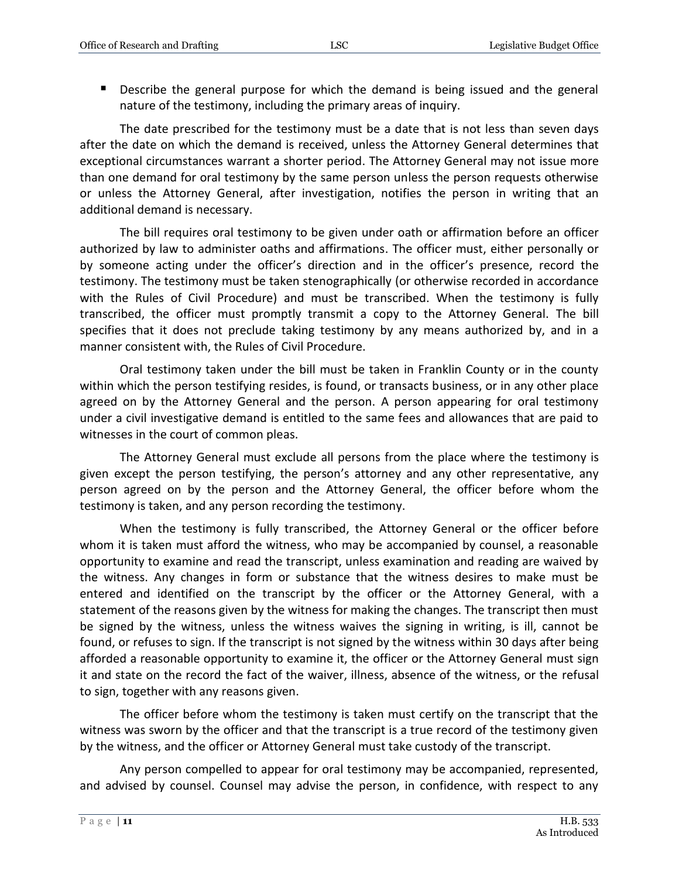Describe the general purpose for which the demand is being issued and the general nature of the testimony, including the primary areas of inquiry.

The date prescribed for the testimony must be a date that is not less than seven days after the date on which the demand is received, unless the Attorney General determines that exceptional circumstances warrant a shorter period. The Attorney General may not issue more than one demand for oral testimony by the same person unless the person requests otherwise or unless the Attorney General, after investigation, notifies the person in writing that an additional demand is necessary.

The bill requires oral testimony to be given under oath or affirmation before an officer authorized by law to administer oaths and affirmations. The officer must, either personally or by someone acting under the officer's direction and in the officer's presence, record the testimony. The testimony must be taken stenographically (or otherwise recorded in accordance with the Rules of Civil Procedure) and must be transcribed. When the testimony is fully transcribed, the officer must promptly transmit a copy to the Attorney General. The bill specifies that it does not preclude taking testimony by any means authorized by, and in a manner consistent with, the Rules of Civil Procedure.

Oral testimony taken under the bill must be taken in Franklin County or in the county within which the person testifying resides, is found, or transacts business, or in any other place agreed on by the Attorney General and the person. A person appearing for oral testimony under a civil investigative demand is entitled to the same fees and allowances that are paid to witnesses in the court of common pleas.

The Attorney General must exclude all persons from the place where the testimony is given except the person testifying, the person's attorney and any other representative, any person agreed on by the person and the Attorney General, the officer before whom the testimony is taken, and any person recording the testimony.

When the testimony is fully transcribed, the Attorney General or the officer before whom it is taken must afford the witness, who may be accompanied by counsel, a reasonable opportunity to examine and read the transcript, unless examination and reading are waived by the witness. Any changes in form or substance that the witness desires to make must be entered and identified on the transcript by the officer or the Attorney General, with a statement of the reasons given by the witness for making the changes. The transcript then must be signed by the witness, unless the witness waives the signing in writing, is ill, cannot be found, or refuses to sign. If the transcript is not signed by the witness within 30 days after being afforded a reasonable opportunity to examine it, the officer or the Attorney General must sign it and state on the record the fact of the waiver, illness, absence of the witness, or the refusal to sign, together with any reasons given.

The officer before whom the testimony is taken must certify on the transcript that the witness was sworn by the officer and that the transcript is a true record of the testimony given by the witness, and the officer or Attorney General must take custody of the transcript.

Any person compelled to appear for oral testimony may be accompanied, represented, and advised by counsel. Counsel may advise the person, in confidence, with respect to any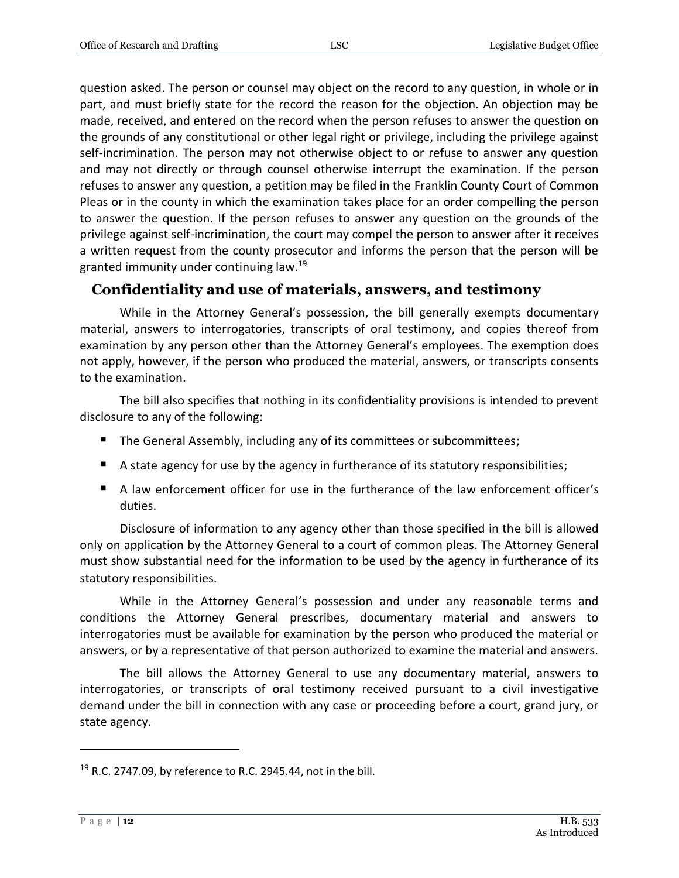question asked. The person or counsel may object on the record to any question, in whole or in part, and must briefly state for the record the reason for the objection. An objection may be made, received, and entered on the record when the person refuses to answer the question on the grounds of any constitutional or other legal right or privilege, including the privilege against self-incrimination. The person may not otherwise object to or refuse to answer any question and may not directly or through counsel otherwise interrupt the examination. If the person refuses to answer any question, a petition may be filed in the Franklin County Court of Common Pleas or in the county in which the examination takes place for an order compelling the person to answer the question. If the person refuses to answer any question on the grounds of the privilege against self-incrimination, the court may compel the person to answer after it receives a written request from the county prosecutor and informs the person that the person will be granted immunity under continuing law.<sup>19</sup>

#### <span id="page-11-0"></span>**Confidentiality and use of materials, answers, and testimony**

While in the Attorney General's possession, the bill generally exempts documentary material, answers to interrogatories, transcripts of oral testimony, and copies thereof from examination by any person other than the Attorney General's employees. The exemption does not apply, however, if the person who produced the material, answers, or transcripts consents to the examination.

The bill also specifies that nothing in its confidentiality provisions is intended to prevent disclosure to any of the following:

- The General Assembly, including any of its committees or subcommittees;
- **A** state agency for use by the agency in furtherance of its statutory responsibilities;
- A law enforcement officer for use in the furtherance of the law enforcement officer's duties.

Disclosure of information to any agency other than those specified in the bill is allowed only on application by the Attorney General to a court of common pleas. The Attorney General must show substantial need for the information to be used by the agency in furtherance of its statutory responsibilities.

While in the Attorney General's possession and under any reasonable terms and conditions the Attorney General prescribes, documentary material and answers to interrogatories must be available for examination by the person who produced the material or answers, or by a representative of that person authorized to examine the material and answers.

The bill allows the Attorney General to use any documentary material, answers to interrogatories, or transcripts of oral testimony received pursuant to a civil investigative demand under the bill in connection with any case or proceeding before a court, grand jury, or state agency.

<sup>&</sup>lt;sup>19</sup> R.C. 2747.09, by reference to R.C. 2945.44, not in the bill.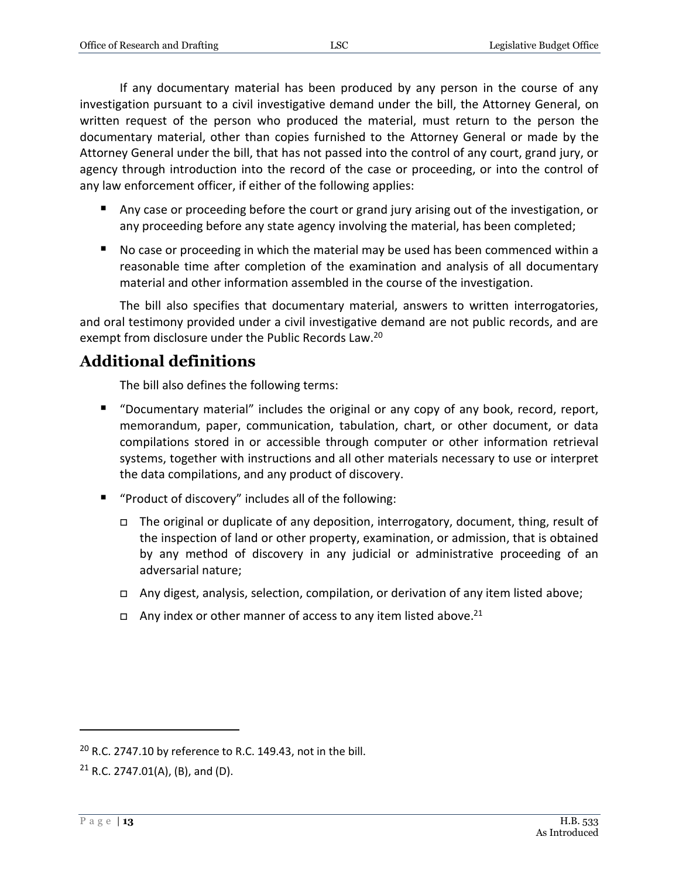If any documentary material has been produced by any person in the course of any investigation pursuant to a civil investigative demand under the bill, the Attorney General, on written request of the person who produced the material, must return to the person the documentary material, other than copies furnished to the Attorney General or made by the Attorney General under the bill, that has not passed into the control of any court, grand jury, or agency through introduction into the record of the case or proceeding, or into the control of any law enforcement officer, if either of the following applies:

- Any case or proceeding before the court or grand jury arising out of the investigation, or any proceeding before any state agency involving the material, has been completed;
- No case or proceeding in which the material may be used has been commenced within a reasonable time after completion of the examination and analysis of all documentary material and other information assembled in the course of the investigation.

The bill also specifies that documentary material, answers to written interrogatories, and oral testimony provided under a civil investigative demand are not public records, and are exempt from disclosure under the Public Records Law.<sup>20</sup>

## <span id="page-12-0"></span>**Additional definitions**

The bill also defines the following terms:

- "Documentary material" includes the original or any copy of any book, record, report, memorandum, paper, communication, tabulation, chart, or other document, or data compilations stored in or accessible through computer or other information retrieval systems, together with instructions and all other materials necessary to use or interpret the data compilations, and any product of discovery.
- "Product of discovery" includes all of the following:
	- The original or duplicate of any deposition, interrogatory, document, thing, result of the inspection of land or other property, examination, or admission, that is obtained by any method of discovery in any judicial or administrative proceeding of an adversarial nature;
	- Any digest, analysis, selection, compilation, or derivation of any item listed above;
	- $\Box$  Any index or other manner of access to any item listed above.<sup>21</sup>

 $20$  R.C. 2747.10 by reference to R.C. 149.43, not in the bill.

<sup>&</sup>lt;sup>21</sup> R.C. 2747.01(A), (B), and (D).